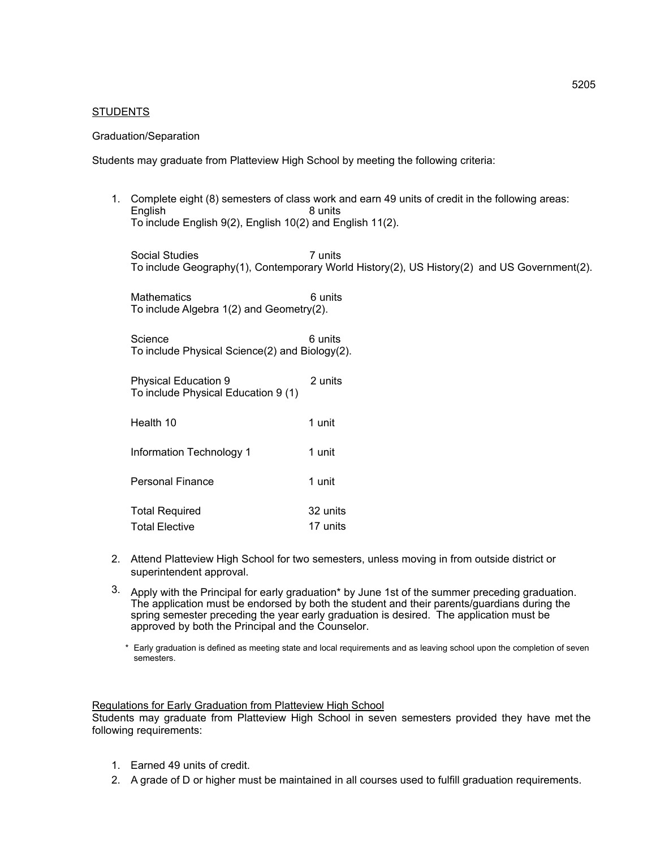## **STUDENTS**

### Graduation/Separation

Students may graduate from Platteview High School by meeting the following criteria:

1. Complete eight (8) semesters of class work and earn 49 units of credit in the following areas: English To include English 9(2), English 10(2) and English 11(2).

Social Studies 7 units To include Geography(1), Contemporary World History(2), US History(2) and US Government(2).

Mathematics 6 units To include Algebra 1(2) and Geometry(2).

Science 6 units To include Physical Science(2) and Biology(2).

Physical Education 9 2 units To include Physical Education 9 (1)

| Health 10                | 1 unit   |
|--------------------------|----------|
| Information Technology 1 | 1 unit   |
| <b>Personal Finance</b>  | 1 unit   |
| <b>Total Required</b>    | 32 units |
| <b>Total Elective</b>    | 17 units |

- 2. Attend Platteview High School for two semesters, unless moving in from outside district or superintendent approval.
- $3.$  Apply with the Principal for early graduation\* by June 1st of the summer preceding graduation. The application must be endorsed by both the student and their parents/guardians during the spring semester preceding the year early graduation is desired. The application must be approved by both the Principal and the Counselor.
	- \* Early graduation is defined as meeting state and local requirements and as leaving school upon the completion of seven semesters.

#### Regulations for Early Graduation from Platteview High School

Students may graduate from Platteview High School in seven semesters provided they have met the following requirements:

- 1. Earned 49 units of credit.
- 2. A grade of D or higher must be maintained in all courses used to fulfill graduation requirements.